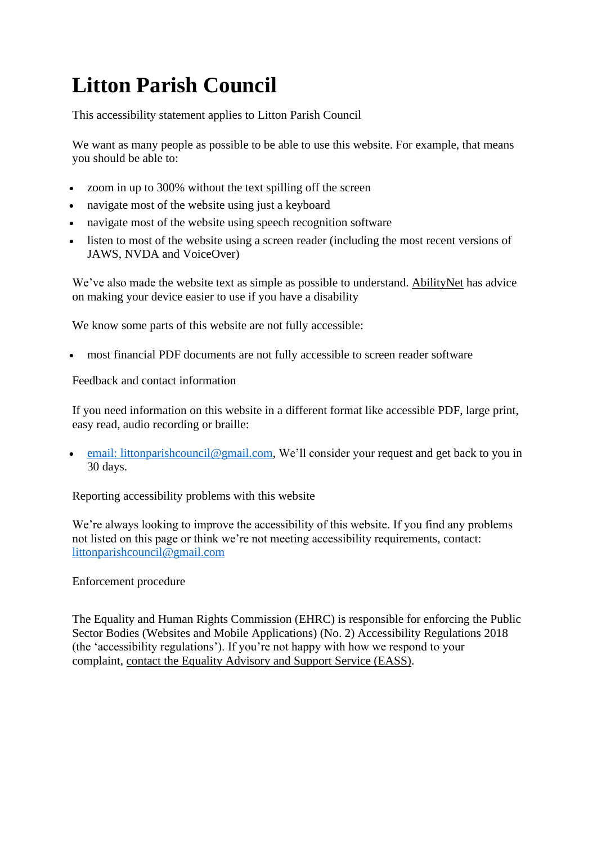## **Litton Parish Council**

This accessibility statement applies to Litton Parish Council

We want as many people as possible to be able to use this website. For example, that means you should be able to:

- zoom in up to 300% without the text spilling off the screen
- navigate most of the website using just a keyboard
- navigate most of the website using speech recognition software
- listen to most of the website using a screen reader (including the most recent versions of JAWS, NVDA and VoiceOver)

We've also made the website text as simple as possible to understand. [AbilityNet](https://mcmw.abilitynet.org.uk/) has advice on making your device easier to use if you have a disability

We know some parts of this website are not fully accessible:

• most financial PDF documents are not fully accessible to screen reader software

Feedback and contact information

If you need information on this website in a different format like accessible PDF, large print, easy read, audio recording or braille:

[email: littonparishcouncil@gmail.com,](mailto:email:%20littonparishcouncil@gmail.com) We'll consider your request and get back to you in 30 days.

Reporting accessibility problems with this website

We're always looking to improve the accessibility of this website. If you find any problems not listed on this page or think we're not meeting accessibility requirements, contact: [littonparishcouncil@gmail.com](mailto:littonparishcouncil@gmail.com)

Enforcement procedure

The Equality and Human Rights Commission (EHRC) is responsible for enforcing the Public Sector Bodies (Websites and Mobile Applications) (No. 2) Accessibility Regulations 2018 (the 'accessibility regulations'). If you're not happy with how we respond to your complaint, contact the Equality [Advisory](https://www.equalityadvisoryservice.com/) and Support Service (EASS).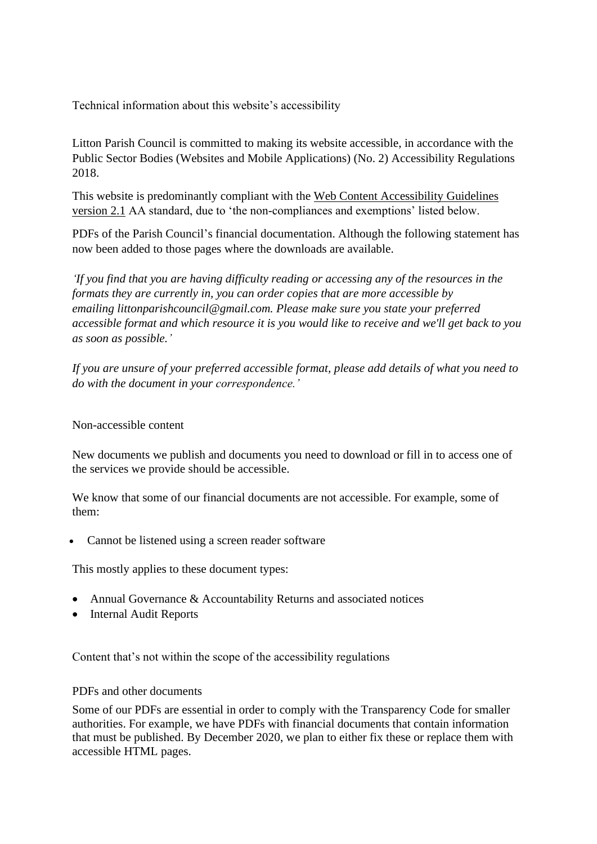Technical information about this website's accessibility

Litton Parish Council is committed to making its website accessible, in accordance with the Public Sector Bodies (Websites and Mobile Applications) (No. 2) Accessibility Regulations 2018.

This website is predominantly compliant with the Web Content [Accessibility](https://www.w3.org/TR/WCAG21/) Guidelines [version](https://www.w3.org/TR/WCAG21/) 2.1 AA standard, due to 'the non-compliances and exemptions' listed below.

PDFs of the Parish Council's financial documentation. Although the following statement has now been added to those pages where the downloads are available.

*'If you find that you are having difficulty reading or accessing any of the resources in the formats they are currently in, you can order copies that are more accessible by emailing littonparishcouncil@gmail.com. Please make sure you state your preferred accessible format and which resource it is you would like to receive and we'll get back to you as soon as possible.'*

*If you are unsure of your preferred accessible format, please add details of what you need to do with the document in your correspondence.'*

Non-accessible content

New documents we publish and documents you need to download or fill in to access one of the services we provide should be accessible.

We know that some of our financial documents are not accessible. For example, some of them:

Cannot be listened using a screen reader software

This mostly applies to these document types:

- Annual Governance & Accountability Returns and associated notices
- Internal Audit Reports

Content that's not within the scope of the accessibility regulations

## PDFs and other documents

Some of our PDFs are essential in order to comply with the Transparency Code for smaller authorities. For example, we have PDFs with financial documents that contain information that must be published. By December 2020, we plan to either fix these or replace them with accessible HTML pages.